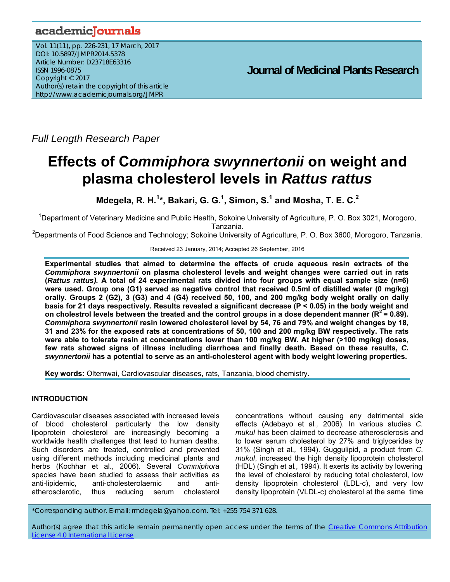## academicJournals

Vol. 11(11), pp. 226-231, 17 March, 2017 DOI: 10.5897/JMPR2014.5378 Article Number: D23718E63316 ISSN 1996-0875 Copyright © 2017 Author(s) retain the copyright of this article http://www.academicjournals.org/JMPR

 **Journal of Medicinal Plants Research**

*Full Length Research Paper* 

# **Effects of C***ommiphora swynnertonii* **on weight and plasma cholesterol levels in** *Rattus rattus*

**Mdegela, R. H.<sup>1</sup> \*, Bakari, G. G.1 , Simon, S.1 and Mosha, T. E. C.2** 

<sup>1</sup>Department of Veterinary Medicine and Public Health, Sokoine University of Agriculture, P. O. Box 3021, Morogoro, Tanzania.

<sup>2</sup>Departments of Food Science and Technology; Sokoine University of Agriculture, P. O. Box 3600, Morogoro, Tanzania.

Received 23 January, 2014; Accepted 26 September, 2016

**Experimental studies that aimed to determine the effects of crude aqueous resin extracts of the**  *Commiphora swynnertonii* **on plasma cholesterol levels and weight changes were carried out in rats (***Rattus rattus).* **A total of 24 experimental rats divided into four groups with equal sample size (n=6) were used. Group one (G1) served as negative control that received 0.5ml of distilled water (0 mg/kg) orally. Groups 2 (G2), 3 (G3) and 4 (G4) received 50, 100, and 200 mg/kg body weight orally on daily basis for 21 days respectively. Results revealed a significant decrease (P < 0.05) in the body weight and**  on cholestrol levels between the treated and the control groups in a dose dependent manner  $(R^2 = 0.89)$ . *Commiphora swynnertonii* **resin lowered cholesterol level by 54, 76 and 79% and weight changes by 18, 31 and 23% for the exposed rats at concentrations of 50, 100 and 200 mg/kg BW respectively. The rats were able to tolerate resin at concentrations lower than 100 mg/kg BW. At higher (>100 mg/kg) doses, few rats showed signs of illness including diarrhoea and finally death. Based on these results,** *C. swynnertonii* **has a potential to serve as an anti-cholesterol agent with body weight lowering properties.** 

**Key words:** Oltemwai, Cardiovascular diseases, rats, Tanzania, blood chemistry.

## **INTRODUCTION**

Cardiovascular diseases associated with increased levels of blood cholesterol particularly the low density lipoprotein cholesterol are increasingly becoming a worldwide health challenges that lead to human deaths. Such disorders are treated, controlled and prevented using different methods including medicinal plants and herbs (Kochhar et al., 2006). Several *Commiphora* species have been studied to assess their activities as anti-lipidemic, anti-cholesterolaemic and antiatherosclerotic, thus reducing serum cholesterol

concentrations without causing any detrimental side effects (Adebayo et al*.,* 2006). In various studies *C. mukul* has been claimed to decrease atherosclerosis and to lower serum cholesterol by 27% and triglycerides by 31% (Singh et al*.,* 1994). Guggulipid, a product from *C. mukul*, increased the high density lipoprotein cholesterol (HDL) (Singh et al*.,* 1994). It exerts its activity by lowering the level of cholesterol by reducing total cholesterol, low density lipoprotein cholesterol (LDL-c), and very low density lipoprotein (VLDL-c) cholesterol at the same time

\*Corresponding author. E-mail: rmdegela@yahoo.com. Tel: +255 754 371 628.

Author(s) agree that this article remain permanently open access under the terms of the Creative Commons Attribution License 4.0 International License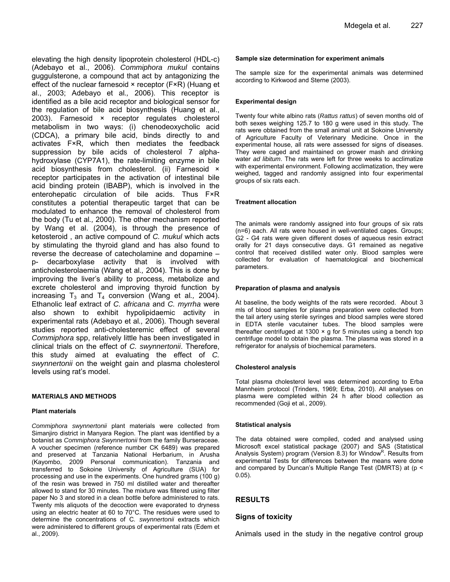elevating the high density lipoprotein cholesterol (HDL-c) (Adebayo et al., 2006). *Commiphora mukul* contains guggulsterone, a compound that act by antagonizing the effect of the nuclear farnesoid × receptor (F×R) (Huang et al., 2003; Adebayo et al*.,* 2006). This receptor is identified as a bile acid receptor and biological sensor for the regulation of bile acid biosynthesis (Huang et al., 2003). Farnesoid × receptor regulates cholesterol metabolism in two ways: (i) chenodeoxycholic acid (CDCA), a primary bile acid, binds directly to and activates F×R, which then mediates the feedback suppression by bile acids of cholesterol 7 alphahydroxylase (CYP7A1), the rate-limiting enzyme in bile acid biosynthesis from cholesterol. (ii) Farnesoid × receptor participates in the activation of intestinal bile acid binding protein (IBABP), which is involved in the enterohepatic circulation of bile acids. Thus F×R constitutes a potential therapeutic target that can be modulated to enhance the removal of cholesterol from the body (Tu et al*.,* 2000). The other mechanism reported by Wang et al. (2004), is through the presence of ketosteroid , an active compound of *C. mukul* which acts by stimulating the thyroid gland and has also found to reverse the decrease of catecholamine and dopamine – p- decarboxylase activity that is involved with anticholesterolaemia (Wang et al*.,* 2004). This is done by improving the liver's ability to process, metabolize and excrete cholesterol and improving thyroid function by increasing  $T_3$  and  $T_4$  conversion (Wang et al., 2004). Ethanolic leaf extract of *C. africana* and *C. myrrha* were also shown to exhibit hypolipidaemic activity in experimental rats (Adebayo et al*.,* 2006). Though several studies reported anti-cholesteremic effect of several *Commiphora* spp, relatively little has been investigated in clinical trials on the effect of *C. swynnertonii*. Therefore,

## **MATERIALS AND METHODS**

levels using rat's model.

#### **Plant materials**

*Commiphora swynnertonii* plant materials were collected from Simanjiro district in Manyara Region. The plant was identified by a botanist as *Commiphora Swynnertonii* from the family Burseraceae. A voucher specimen (reference number CK 6489) was prepared and preserved at Tanzania National Herbarium, in Arusha (Kayombo, 2009 Personal communication). Tanzania and transferred to Sokoine University of Agriculture (SUA) for processing and use in the experiments. One hundred grams (100 g) of the resin was brewed in 750 ml distilled water and thereafter allowed to stand for 30 minutes. The mixture was filtered using filter paper No 3 and stored in a clean bottle before administered to rats. Twenty mls aliquots of the decoction were evaporated to dryness using an electric heater at 60 to 70°C. The residues were used to determine the concentrations of C*. swynnertonii* extracts which were administered to different groups of experimental rats (Edem et al., 2009).

this study aimed at evaluating the effect of *C. swynnertonii* on the weight gain and plasma cholesterol

#### **Sample size determination for experiment animals**

The sample size for the experimental animals was determined according to Kirkwood and Sterne (2003).

#### **Experimental design**

Twenty four white albino rats (*Rattus rattus*) of seven months old of both sexes weighing 125.7 to 180 g were used in this study. The rats were obtained from the small animal unit at Sokoine University of Agriculture Faculty of Veterinary Medicine. Once in the experimental house, all rats were assessed for signs of diseases. They were caged and maintained on grower mash and drinking water *ad libitum*. The rats were left for three weeks to acclimatize with experimental environment. Following acclimatization, they were weighed, tagged and randomly assigned into four experimental groups of six rats each.

#### **Treatment allocation**

The animals were randomly assigned into four groups of six rats (n=6) each. All rats were housed in well-ventilated cages. Groups; G2 - G4 rats were given different doses of aqueous resin extract orally for 21 days consecutive days. G1 remained as negative control that received distilled water only. Blood samples were collected for evaluation of haematological and biochemical parameters.

#### **Preparation of plasma and analysis**

At baseline, the body weights of the rats were recorded. About 3 mls of blood samples for plasma preparation were collected from the tail artery using sterile syringes and blood samples were stored in EDTA sterile vacutainer tubes. The blood samples were thereafter centrifuged at 1300  $\times$  g for 5 minutes using a bench top centrifuge model to obtain the plasma. The plasma was stored in a refrigerator for analysis of biochemical parameters.

#### **Cholesterol analysis**

Total plasma cholesterol level was determined according to Erba Mannheim protocol (Trinders, 1969; Erba, 2010). All analyses on plasma were completed within 24 h after blood collection as recommended (Goji et al*.*, 2009).

#### **Statistical analysis**

The data obtained were compiled, coded and analysed using Microsoft excel statistical package (2007) and SAS (Statistical Analysis System) program (Version 8.3) for Window<sup>R</sup>. Results from experimental Tests for differences between the means were done and compared by Duncan's Multiple Range Test (DMRTS) at (p < 0.05).

#### **RESULTS**

#### **Signs of toxicity**

Animals used in the study in the negative control group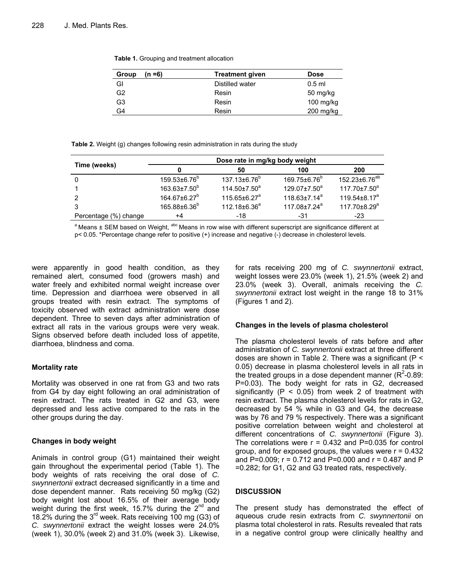**Table 1.** Grouping and treatment allocation

| (n =6)<br>Group | <b>Treatment given</b> | <b>Dose</b> |
|-----------------|------------------------|-------------|
| GI              | Distilled water        | $0.5$ ml    |
| G <sub>2</sub>  | Resin                  | 50 mg/kg    |
| G3              | Resin                  | $100$ mg/kg |
| G4              | Resin                  | $200$ mg/kg |

**Table 2.** Weight (g) changes following resin administration in rats during the study

|                       | Dose rate in mg/kg body weight |                          |                          |                           |
|-----------------------|--------------------------------|--------------------------|--------------------------|---------------------------|
| Time (weeks)          |                                | 50                       | 100                      | 200                       |
|                       | $159.53\pm6.76^b$              | 137.13±6.76 <sup>b</sup> | 169.75±6.76 <sup>b</sup> | 152.23±6.76 <sup>ab</sup> |
|                       | $163.63 \pm 7.50^b$            | $114.50 \pm 7.50^a$      | $129.07 \pm 7.50^a$      | $117.70 \pm 7.50^a$       |
|                       | $164.67 \pm 6.27^b$            | $115.65 \pm 6.27^a$      | $118.63+7.14^a$          | $119.54\pm8.17^a$         |
|                       | 165.88±6.36 <sup>b</sup>       | 112.18±6.36 <sup>a</sup> | $117.08 \pm 7.24^a$      | 117.70±8.29 <sup>a</sup>  |
| Percentage (%) change | +4                             | $-18$                    | -31                      | $-23$                     |

<sup>a</sup> Means ± SEM based on Weight, <sup>abc</sup> Means in row wise with different superscript are significance different at p< 0.05. \*Percentage change refer to positive (+) increase and negative (-) decrease in cholesterol levels.

were apparently in good health condition, as they remained alert, consumed food (growers mash) and water freely and exhibited normal weight increase over time. Depression and diarrhoea were observed in all groups treated with resin extract. The symptoms of toxicity observed with extract administration were dose dependent. Three to seven days after administration of extract all rats in the various groups were very weak. Signs observed before death included loss of appetite, diarrhoea, blindness and coma.

## **Mortality rate**

Mortality was observed in one rat from G3 and two rats from G4 by day eight following an oral administration of resin extract. The rats treated in G2 and G3, were depressed and less active compared to the rats in the other groups during the day.

## **Changes in body weight**

Animals in control group (G1) maintained their weight gain throughout the experimental period (Table 1). The body weights of rats receiving the oral dose of *C. swynnertonii* extract decreased significantly in a time and dose dependent manner. Rats receiving 50 mg/kg (G2) body weight lost about 16.5% of their average body weight during the first week, 15.7% during the  $2^{nd}$  and 18.2% during the  $3^{rd}$  week. Rats receiving 100 mg (G3) of *C. swynnertonii* extract the weight losses were 24.0% (week 1), 30.0% (week 2) and 31.0% (week 3). Likewise, for rats receiving 200 mg of *C. swynnertonii* extract, weight losses were 23.0% (week 1), 21.5% (week 2) and 23.0% (week 3). Overall, animals receiving the *C. swynnertonii* extract lost weight in the range 18 to 31% (Figures 1 and 2).

## **Changes in the levels of plasma cholesterol**

The plasma cholesterol levels of rats before and after administration of *C. swynnertonii* extract at three different doses are shown in Table 2. There was a significant (P < 0.05) decrease in plasma cholesterol levels in all rats in the treated groups in a dose dependent manner ( $R^2$ -0.89: P=0.03). The body weight for rats in G2, decreased significantly ( $P < 0.05$ ) from week 2 of treatment with resin extract. The plasma cholesterol levels for rats in G2, decreased by 54 % while in G3 and G4, the decrease was by 76 and 79 % respectively. There was a significant positive correlation between weight and cholesterol at different concentrations of *C. swynnertonii* (Figure 3). The correlations were  $r = 0.432$  and P=0.035 for control group, and for exposed groups, the values were  $r = 0.432$ and P=0.009;  $r = 0.712$  and P=0.000 and  $r = 0.487$  and P =0.282; for G1, G2 and G3 treated rats, respectively.

## **DISCUSSION**

The present study has demonstrated the effect of aqueous crude resin extracts from *C. swynnertonii* on plasma total cholesterol in rats. Results revealed that rats in a negative control group were clinically healthy and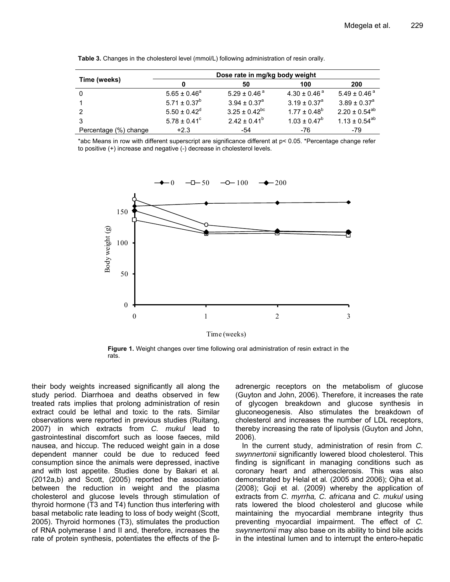| Time (weeks)          | Dose rate in mg/kg body weight |                             |                             |                              |
|-----------------------|--------------------------------|-----------------------------|-----------------------------|------------------------------|
|                       |                                | 50                          | 100                         | 200                          |
| 0                     | $5.65 \pm 0.46^a$              | $5.29 \pm 0.46^{\text{ a}}$ | $4.30 \pm 0.46^{\text{ a}}$ | $5.49 \pm 0.46$ <sup>a</sup> |
|                       | $5.71 \pm 0.37^b$              | $3.94 \pm 0.37^{\circ}$     | $3.19 \pm 0.37^{\circ}$     | $3.89 \pm 0.37^{\circ}$      |
| 2                     | $5.50 \pm 0.42^d$              | $3.25 \pm 0.42^{bc}$        | $1.77 \pm 0.48^b$           | $2.20 \pm 0.54^{ab}$         |
|                       | $5.78 \pm 0.41^{\circ}$        | $2.42 \pm 0.41^b$           | $1.03 \pm 0.47^b$           | $1.13 \pm 0.54^{ab}$         |
| Percentage (%) change | $+2.3$                         | -54                         | -76                         | -79                          |

**Table 3.** Changes in the cholesterol level (mmol/L) following administration of resin orally.

\*abc Means in row with different superscript are significance different at p< 0.05. \*Percentage change refer to positive (+) increase and negative (-) decrease in cholesterol levels.



**Figure 1.** Weight changes over time following oral administration of resin extract in the rats.

their body weights increased significantly all along the study period. Diarrhoea and deaths observed in few treated rats implies that prolong administration of resin extract could be lethal and toxic to the rats. Similar observations were reported in previous studies (Ruitang, 2007) in which extracts from *C. mukul* lead to gastrointestinal discomfort such as loose faeces, mild nausea, and hiccup. The reduced weight gain in a dose dependent manner could be due to reduced feed consumption since the animals were depressed, inactive and with lost appetite. Studies done by Bakari et al*.* (2012a,b) and Scott, (2005) reported the association between the reduction in weight and the plasma cholesterol and glucose levels through stimulation of thyroid hormone (T3 and T4) function thus interfering with basal metabolic rate leading to loss of body weight (Scott, 2005). Thyroid hormones (T3), stimulates the production of RNA polymerase I and II and, therefore, increases the rate of protein synthesis, potentiates the effects of the βadrenergic receptors on the metabolism of glucose (Guyton and John, 2006). Therefore, it increases the rate of glycogen breakdown and glucose synthesis in gluconeogenesis. Also stimulates the breakdown of cholesterol and increases the number of LDL receptors, thereby increasing the rate of lipolysis (Guyton and John, 2006).

In the current study, administration of resin from *C. swynnertonii* significantly lowered blood cholesterol. This finding is significant in managing conditions such as coronary heart and atherosclerosis. This was also demonstrated by Helal et al*.* (2005 and 2006); Ojha et al. (2008); Goji et al. (2009) whereby the application of extracts from *C. myrrha, C. africana* and *C. mukul* using rats lowered the blood cholesterol and glucose while maintaining the myocardial membrane integrity thus preventing myocardial impairment. The effect of *C. swynnertonii* may also base on its ability to bind bile acids in the intestinal lumen and to interrupt the entero-hepatic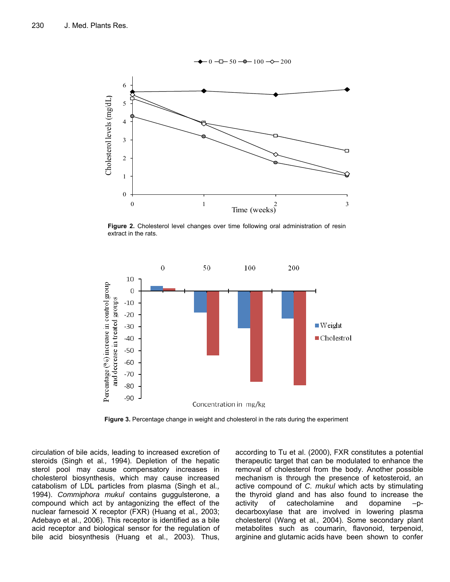

**Figure 2.** Cholesterol level changes over time following oral administration of resin extract in the rats.



**Figure 3.** Percentage change in weight and cholesterol in the rats during the experiment

circulation of bile acids, leading to increased excretion of steroids (Singh et al*.,* 1994). Depletion of the hepatic sterol pool may cause compensatory increases in cholesterol biosynthesis, which may cause increased catabolism of LDL particles from plasma (Singh et al*.,* 1994). *Commiphora mukul* contains guggulsterone, a compound which act by antagonizing the effect of the nuclear farnesoid X receptor (FXR) (Huang et al*.,* 2003; Adebayo et al., 2006). This receptor is identified as a bile acid receptor and biological sensor for the regulation of bile acid biosynthesis (Huang et al., 2003). Thus, according to Tu et al. (2000), FXR constitutes a potential therapeutic target that can be modulated to enhance the removal of cholesterol from the body. Another possible mechanism is through the presence of ketosteroid, an active compound of *C. mukul* which acts by stimulating the thyroid gland and has also found to increase the activity of catecholamine and dopamine –pdecarboxylase that are involved in lowering plasma cholesterol (Wang et al*.,* 2004). Some secondary plant metabolites such as coumarin, flavonoid, terpenoid, arginine and glutamic acids have been shown to confer